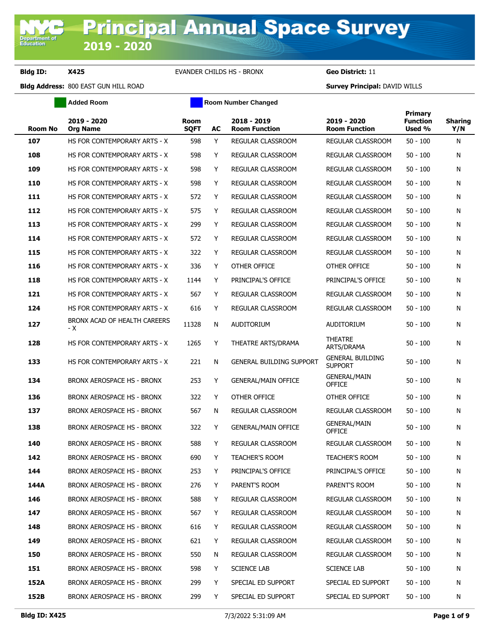**Department of**<br>Education

**Bldg ID: X425** EVANDER CHILDS HS - BRONX **Geo District:** 11

**Added Room Room Room Number Changed** 

| <b>Room No</b> | 2019 - 2020<br><b>Org Name</b>      | <b>Room</b><br><b>SQFT</b> | AC | 2018 - 2019<br><b>Room Function</b> | 2019 - 2020<br><b>Room Function</b>       | Primary<br><b>Function</b><br>Used % | <b>Sharing</b><br>Y/N |
|----------------|-------------------------------------|----------------------------|----|-------------------------------------|-------------------------------------------|--------------------------------------|-----------------------|
| 107            | HS FOR CONTEMPORARY ARTS - X        | 598                        | Y  | REGULAR CLASSROOM                   | REGULAR CLASSROOM                         | $50 - 100$                           | N                     |
| 108            | HS FOR CONTEMPORARY ARTS - X        | 598                        | Y  | <b>REGULAR CLASSROOM</b>            | REGULAR CLASSROOM                         | $50 - 100$                           | N                     |
| 109            | HS FOR CONTEMPORARY ARTS - X        | 598                        | Y  | <b>REGULAR CLASSROOM</b>            | REGULAR CLASSROOM                         | $50 - 100$                           | N                     |
| 110            | HS FOR CONTEMPORARY ARTS - X        | 598                        | Y  | REGULAR CLASSROOM                   | REGULAR CLASSROOM                         | $50 - 100$                           | N                     |
| 111            | HS FOR CONTEMPORARY ARTS - X        | 572                        | Y  | <b>REGULAR CLASSROOM</b>            | REGULAR CLASSROOM                         | $50 - 100$                           | N                     |
| 112            | HS FOR CONTEMPORARY ARTS - X        | 575                        | Y  | REGULAR CLASSROOM                   | REGULAR CLASSROOM                         | $50 - 100$                           | N                     |
| 113            | HS FOR CONTEMPORARY ARTS - X        | 299                        | Y  | REGULAR CLASSROOM                   | REGULAR CLASSROOM                         | $50 - 100$                           | N                     |
| 114            | HS FOR CONTEMPORARY ARTS - X        | 572                        | Y  | REGULAR CLASSROOM                   | REGULAR CLASSROOM                         | $50 - 100$                           | N                     |
| 115            | HS FOR CONTEMPORARY ARTS - X        | 322                        | Y  | REGULAR CLASSROOM                   | REGULAR CLASSROOM                         | $50 - 100$                           | N                     |
| 116            | HS FOR CONTEMPORARY ARTS - X        | 336                        | Y  | OTHER OFFICE                        | OTHER OFFICE                              | $50 - 100$                           | N                     |
| 118            | HS FOR CONTEMPORARY ARTS - X        | 1144                       | Y  | PRINCIPAL'S OFFICE                  | PRINCIPAL'S OFFICE                        | $50 - 100$                           | N                     |
| 121            | HS FOR CONTEMPORARY ARTS - X        | 567                        | Y  | REGULAR CLASSROOM                   | REGULAR CLASSROOM                         | $50 - 100$                           | N                     |
| 124            | HS FOR CONTEMPORARY ARTS - X        | 616                        | Y  | REGULAR CLASSROOM                   | REGULAR CLASSROOM                         | $50 - 100$                           | N                     |
| 127            | BRONX ACAD OF HEALTH CAREERS<br>- X | 11328                      | N  | <b>AUDITORIUM</b>                   | <b>AUDITORIUM</b>                         | $50 - 100$                           | N                     |
| 128            | HS FOR CONTEMPORARY ARTS - X        | 1265                       | Y  | THEATRE ARTS/DRAMA                  | <b>THEATRE</b><br>ARTS/DRAMA              | $50 - 100$                           | N                     |
| 133            | HS FOR CONTEMPORARY ARTS - X        | 221                        | N  | <b>GENERAL BUILDING SUPPORT</b>     | <b>GENERAL BUILDING</b><br><b>SUPPORT</b> | $50 - 100$                           | N                     |
| 134            | BRONX AEROSPACE HS - BRONX          | 253                        | Y  | <b>GENERAL/MAIN OFFICE</b>          | <b>GENERAL/MAIN</b><br><b>OFFICE</b>      | $50 - 100$                           | N                     |
| 136            | BRONX AEROSPACE HS - BRONX          | 322                        | Y  | OTHER OFFICE                        | OTHER OFFICE                              | $50 - 100$                           | N                     |
| 137            | BRONX AEROSPACE HS - BRONX          | 567                        | N  | REGULAR CLASSROOM                   | REGULAR CLASSROOM                         | $50 - 100$                           | N                     |
| 138            | <b>BRONX AEROSPACE HS - BRONX</b>   | 322                        | Y  | <b>GENERAL/MAIN OFFICE</b>          | <b>GENERAL/MAIN</b><br><b>OFFICE</b>      | $50 - 100$                           | N                     |
| 140            | BRONX AEROSPACE HS - BRONX          | 588                        | Y  | <b>REGULAR CLASSROOM</b>            | <b>REGULAR CLASSROOM</b>                  | $50 - 100$                           | N                     |
| 142            | BRONX AEROSPACE HS - BRONX          | 690                        | Y  | <b>TEACHER'S ROOM</b>               | <b>TEACHER'S ROOM</b>                     | $50 - 100$                           | N                     |
| 144            | BRONX AEROSPACE HS - BRONX          | 253                        | Y  | PRINCIPAL'S OFFICE                  | PRINCIPAL'S OFFICE                        | $50 - 100$                           | N                     |
| 144A           | BRONX AEROSPACE HS - BRONX          | 276                        | Y  | PARENT'S ROOM                       | PARENT'S ROOM                             | $50 - 100$                           | N                     |
| 146            | BRONX AEROSPACE HS - BRONX          | 588                        | Y  | REGULAR CLASSROOM                   | REGULAR CLASSROOM                         | $50 - 100$                           | N                     |
| 147            | BRONX AEROSPACE HS - BRONX          | 567                        | Y  | REGULAR CLASSROOM                   | REGULAR CLASSROOM                         | $50 - 100$                           | N                     |
| 148            | BRONX AEROSPACE HS - BRONX          | 616                        | Y  | REGULAR CLASSROOM                   | REGULAR CLASSROOM                         | $50 - 100$                           | N                     |
| 149            | BRONX AEROSPACE HS - BRONX          | 621                        | Y  | <b>REGULAR CLASSROOM</b>            | REGULAR CLASSROOM                         | 50 - 100                             | N                     |
| 150            | BRONX AEROSPACE HS - BRONX          | 550                        | N  | REGULAR CLASSROOM                   | REGULAR CLASSROOM                         | 50 - 100                             | N                     |
| 151            | BRONX AEROSPACE HS - BRONX          | 598                        | Y  | <b>SCIENCE LAB</b>                  | <b>SCIENCE LAB</b>                        | $50 - 100$                           | N                     |
| 152A           | BRONX AEROSPACE HS - BRONX          | 299                        | Y  | SPECIAL ED SUPPORT                  | SPECIAL ED SUPPORT                        | 50 - 100                             | N                     |
| 152B           | BRONX AEROSPACE HS - BRONX          | 299                        | Y  | SPECIAL ED SUPPORT                  | SPECIAL ED SUPPORT                        | $50 - 100$                           | N                     |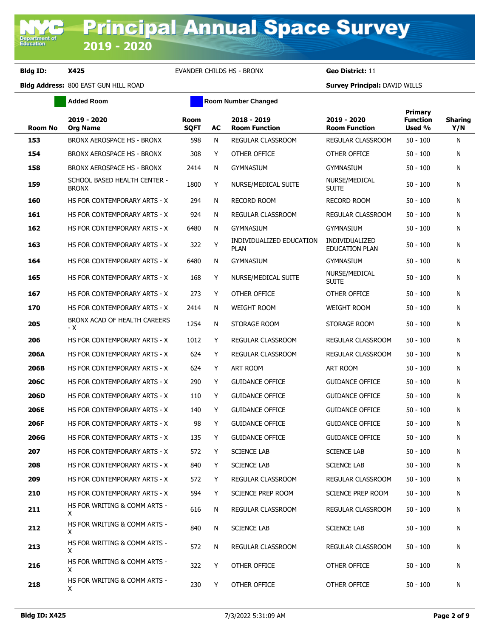**Added Room Room Room Number Changed** 

| Room No     | 2019 - 2020<br>Org Name                      | <b>Room</b><br><b>SQFT</b> | AC | 2018 - 2019<br><b>Room Function</b>     | 2019 - 2020<br><b>Room Function</b>            | Primary<br><b>Function</b><br>Used % | <b>Sharing</b><br>Y/N |
|-------------|----------------------------------------------|----------------------------|----|-----------------------------------------|------------------------------------------------|--------------------------------------|-----------------------|
| 153         | BRONX AEROSPACE HS - BRONX                   | 598                        | N  | REGULAR CLASSROOM                       | REGULAR CLASSROOM                              | $50 - 100$                           | N                     |
| 154         | BRONX AEROSPACE HS - BRONX                   | 308                        | Y  | OTHER OFFICE                            | <b>OTHER OFFICE</b>                            | $50 - 100$                           | N                     |
| 158         | BRONX AEROSPACE HS - BRONX                   | 2414                       | N  | <b>GYMNASIUM</b>                        | <b>GYMNASIUM</b>                               | $50 - 100$                           | N                     |
| 159         | SCHOOL BASED HEALTH CENTER -<br><b>BRONX</b> | 1800                       | Y  | NURSE/MEDICAL SUITE                     | NURSE/MEDICAL<br>Suite                         | $50 - 100$                           | N                     |
| 160         | HS FOR CONTEMPORARY ARTS - X                 | 294                        | N  | <b>RECORD ROOM</b>                      | <b>RECORD ROOM</b>                             | $50 - 100$                           | N                     |
| 161         | HS FOR CONTEMPORARY ARTS - X                 | 924                        | N  | REGULAR CLASSROOM                       | REGULAR CLASSROOM                              | $50 - 100$                           | N                     |
| 162         | HS FOR CONTEMPORARY ARTS - X                 | 6480                       | N  | <b>GYMNASIUM</b>                        | <b>GYMNASIUM</b>                               | $50 - 100$                           | N                     |
| 163         | HS FOR CONTEMPORARY ARTS - X                 | 322                        | Y  | INDIVIDUALIZED EDUCATION<br><b>PLAN</b> | <b>INDIVIDUALIZED</b><br><b>EDUCATION PLAN</b> | $50 - 100$                           | N                     |
| 164         | HS FOR CONTEMPORARY ARTS - X                 | 6480                       | N  | <b>GYMNASIUM</b>                        | <b>GYMNASIUM</b>                               | $50 - 100$                           | N                     |
| 165         | HS FOR CONTEMPORARY ARTS - X                 | 168                        | Y  | NURSE/MEDICAL SUITE                     | NURSE/MEDICAL<br><b>SUITE</b>                  | $50 - 100$                           | N                     |
| 167         | HS FOR CONTEMPORARY ARTS - X                 | 273                        | Y  | OTHER OFFICE                            | OTHER OFFICE                                   | $50 - 100$                           | N                     |
| 170         | HS FOR CONTEMPORARY ARTS - X                 | 2414                       | N  | <b>WEIGHT ROOM</b>                      | <b>WEIGHT ROOM</b>                             | $50 - 100$                           | N                     |
| 205         | BRONX ACAD OF HEALTH CAREERS<br>- X          | 1254                       | N  | STORAGE ROOM                            | STORAGE ROOM                                   | $50 - 100$                           | N                     |
| 206         | HS FOR CONTEMPORARY ARTS - X                 | 1012                       | Y  | <b>REGULAR CLASSROOM</b>                | REGULAR CLASSROOM                              | $50 - 100$                           | N                     |
| 206A        | HS FOR CONTEMPORARY ARTS - X                 | 624                        | Y  | REGULAR CLASSROOM                       | REGULAR CLASSROOM                              | $50 - 100$                           | N                     |
| 206B        | HS FOR CONTEMPORARY ARTS - X                 | 624                        | Y  | ART ROOM                                | ART ROOM                                       | $50 - 100$                           | N                     |
| <b>206C</b> | HS FOR CONTEMPORARY ARTS - X                 | 290                        | Y  | <b>GUIDANCE OFFICE</b>                  | <b>GUIDANCE OFFICE</b>                         | $50 - 100$                           | N                     |
| 206D        | HS FOR CONTEMPORARY ARTS - X                 | 110                        | Y  | <b>GUIDANCE OFFICE</b>                  | <b>GUIDANCE OFFICE</b>                         | $50 - 100$                           | N                     |
| 206E        | HS FOR CONTEMPORARY ARTS - X                 | 140                        | Y  | <b>GUIDANCE OFFICE</b>                  | <b>GUIDANCE OFFICE</b>                         | $50 - 100$                           | N                     |
| 206F        | HS FOR CONTEMPORARY ARTS - X                 | 98                         | Y  | <b>GUIDANCE OFFICE</b>                  | <b>GUIDANCE OFFICE</b>                         | $50 - 100$                           | N                     |
| <b>206G</b> | HS FOR CONTEMPORARY ARTS - X                 | 135                        | Y  | <b>GUIDANCE OFFICE</b>                  | <b>GUIDANCE OFFICE</b>                         | $50 - 100$                           | N                     |
| 207         | HS FOR CONTEMPORARY ARTS - X                 | 572                        | Y  | <b>SCIENCE LAB</b>                      | <b>SCIENCE LAB</b>                             | $50 - 100$                           | N                     |
| 208         | HS FOR CONTEMPORARY ARTS - X                 | 840                        | Y  | <b>SCIENCE LAB</b>                      | <b>SCIENCE LAB</b>                             | $50 - 100$                           | N                     |
| 209         | HS FOR CONTEMPORARY ARTS - X                 | 572                        | Y  | REGULAR CLASSROOM                       | REGULAR CLASSROOM                              | $50 - 100$                           | N                     |
| 210         | HS FOR CONTEMPORARY ARTS - X                 | 594                        | Y  | SCIENCE PREP ROOM                       | SCIENCE PREP ROOM                              | $50 - 100$                           | N                     |
| 211         | HS FOR WRITING & COMM ARTS -<br>X.           | 616                        | N  | REGULAR CLASSROOM                       | REGULAR CLASSROOM                              | $50 - 100$                           | N                     |
| 212         | HS FOR WRITING & COMM ARTS -<br>X.           | 840                        | N  | <b>SCIENCE LAB</b>                      | <b>SCIENCE LAB</b>                             | $50 - 100$                           | N                     |
| 213         | HS FOR WRITING & COMM ARTS -<br>X.           | 572                        | N  | REGULAR CLASSROOM                       | REGULAR CLASSROOM                              | $50 - 100$                           | N                     |
| 216         | HS FOR WRITING & COMM ARTS -<br>X.           | 322                        | Y  | OTHER OFFICE                            | OTHER OFFICE                                   | $50 - 100$                           | N                     |
| 218         | HS FOR WRITING & COMM ARTS -<br>X.           | 230                        | Y  | OTHER OFFICE                            | OTHER OFFICE                                   | $50 - 100$                           | N                     |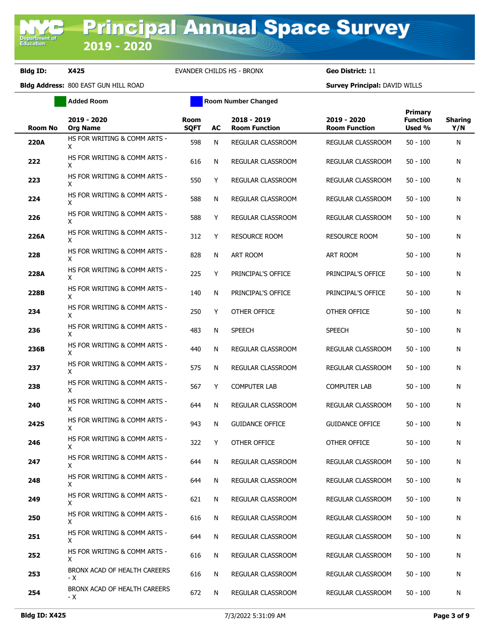**Added Room Room Room Number Changed** 

| <b>Room No</b> | 2019 - 2020<br><b>Org Name</b>      | <b>Room</b><br><b>SQFT</b> | AC | 2018 - 2019<br><b>Room Function</b> | 2019 - 2020<br><b>Room Function</b> | Primary<br><b>Function</b><br>Used % | <b>Sharing</b><br>Y/N |
|----------------|-------------------------------------|----------------------------|----|-------------------------------------|-------------------------------------|--------------------------------------|-----------------------|
| 220A           | HS FOR WRITING & COMM ARTS -<br>X   | 598                        | N  | REGULAR CLASSROOM                   | REGULAR CLASSROOM                   | $50 - 100$                           | N                     |
| 222            | HS FOR WRITING & COMM ARTS -<br>X   | 616                        | N  | REGULAR CLASSROOM                   | REGULAR CLASSROOM                   | $50 - 100$                           | N                     |
| 223            | HS FOR WRITING & COMM ARTS -<br>X   | 550                        | Y  | REGULAR CLASSROOM                   | REGULAR CLASSROOM                   | $50 - 100$                           | N                     |
| 224            | HS FOR WRITING & COMM ARTS -<br>X   | 588                        | N  | REGULAR CLASSROOM                   | REGULAR CLASSROOM                   | 50 - 100                             | N                     |
| 226            | HS FOR WRITING & COMM ARTS -<br>Χ   | 588                        | Y  | REGULAR CLASSROOM                   | REGULAR CLASSROOM                   | $50 - 100$                           | N                     |
| 226A           | HS FOR WRITING & COMM ARTS -<br>X   | 312                        | Y  | <b>RESOURCE ROOM</b>                | <b>RESOURCE ROOM</b>                | 50 - 100                             | N                     |
| 228            | HS FOR WRITING & COMM ARTS -<br>X   | 828                        | N  | ART ROOM                            | ART ROOM                            | $50 - 100$                           | N                     |
| 228A           | HS FOR WRITING & COMM ARTS -<br>X   | 225                        | Y  | PRINCIPAL'S OFFICE                  | PRINCIPAL'S OFFICE                  | $50 - 100$                           | N                     |
| 228B           | HS FOR WRITING & COMM ARTS -<br>X   | 140                        | N  | PRINCIPAL'S OFFICE                  | PRINCIPAL'S OFFICE                  | $50 - 100$                           | N                     |
| 234            | HS FOR WRITING & COMM ARTS -<br>X   | 250                        | Y  | OTHER OFFICE                        | OTHER OFFICE                        | $50 - 100$                           | N                     |
| 236            | HS FOR WRITING & COMM ARTS -<br>X   | 483                        | N  | <b>SPEECH</b>                       | <b>SPEECH</b>                       | $50 - 100$                           | N                     |
| 236B           | HS FOR WRITING & COMM ARTS -<br>X   | 440                        | N  | REGULAR CLASSROOM                   | REGULAR CLASSROOM                   | $50 - 100$                           | N                     |
| 237            | HS FOR WRITING & COMM ARTS -<br>X   | 575                        | N  | REGULAR CLASSROOM                   | REGULAR CLASSROOM                   | $50 - 100$                           | N                     |
| 238            | HS FOR WRITING & COMM ARTS -<br>X   | 567                        | Y  | <b>COMPUTER LAB</b>                 | COMPUTER LAB                        | $50 - 100$                           | N                     |
| 240            | HS FOR WRITING & COMM ARTS -<br>X   | 644                        | N  | REGULAR CLASSROOM                   | REGULAR CLASSROOM                   | 50 - 100                             | N                     |
| <b>242S</b>    | HS FOR WRITING & COMM ARTS -<br>X   | 943                        | N  | <b>GUIDANCE OFFICE</b>              | <b>GUIDANCE OFFICE</b>              | $50 - 100$                           | N                     |
| 246            | HS FOR WRITING & COMM ARTS -<br>X   | 322                        | Y  | OTHER OFFICE                        | OTHER OFFICE                        | $50 - 100$                           | N                     |
| 247            | HS FOR WRITING & COMM ARTS -<br>X   | 644                        | N  | REGULAR CLASSROOM                   | REGULAR CLASSROOM                   | $50 - 100$                           | N                     |
| 248            | HS FOR WRITING & COMM ARTS -<br>X   | 644                        | N  | REGULAR CLASSROOM                   | REGULAR CLASSROOM                   | $50 - 100$                           | N                     |
| 249            | HS FOR WRITING & COMM ARTS -<br>X.  | 621                        | N  | REGULAR CLASSROOM                   | REGULAR CLASSROOM                   | $50 - 100$                           | N                     |
| 250            | HS FOR WRITING & COMM ARTS -<br>X.  | 616                        | N  | <b>REGULAR CLASSROOM</b>            | REGULAR CLASSROOM                   | $50 - 100$                           | N                     |
| 251            | HS FOR WRITING & COMM ARTS -<br>X   | 644                        | N  | REGULAR CLASSROOM                   | REGULAR CLASSROOM                   | $50 - 100$                           | N                     |
| 252            | HS FOR WRITING & COMM ARTS -<br>X   | 616                        | N  | REGULAR CLASSROOM                   | REGULAR CLASSROOM                   | $50 - 100$                           | N                     |
| 253            | BRONX ACAD OF HEALTH CAREERS<br>- X | 616                        | N  | REGULAR CLASSROOM                   | REGULAR CLASSROOM                   | $50 - 100$                           | N                     |
| 254            | BRONX ACAD OF HEALTH CAREERS<br>- X | 672                        | N  | REGULAR CLASSROOM                   | REGULAR CLASSROOM                   | $50 - 100$                           | N                     |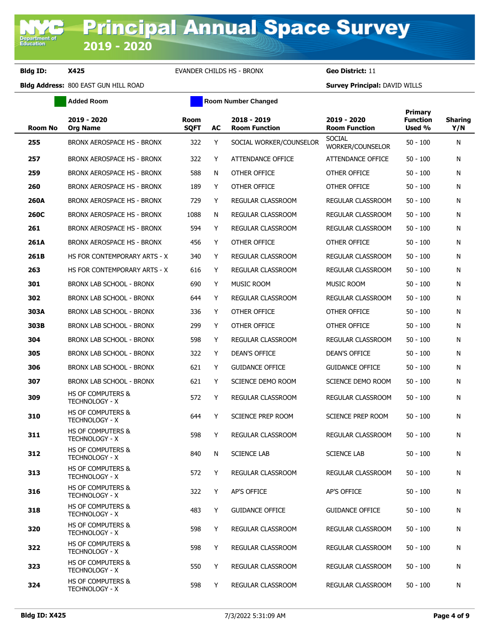**Added Room Room Room Number Changed** 

| <b>Room No</b> | 2019 - 2020<br><b>Org Name</b>                        | Room<br><b>SQFT</b> | AC | 2018 - 2019<br><b>Room Function</b> | 2019 - 2020<br><b>Room Function</b> | Primary<br><b>Function</b><br>Used % | <b>Sharing</b><br>Y/N |
|----------------|-------------------------------------------------------|---------------------|----|-------------------------------------|-------------------------------------|--------------------------------------|-----------------------|
| 255            | BRONX AEROSPACE HS - BRONX                            | 322                 | Y  | SOCIAL WORKER/COUNSELOR             | <b>SOCIAL</b><br>WORKER/COUNSELOR   | $50 - 100$                           | N                     |
| 257            | BRONX AEROSPACE HS - BRONX                            | 322                 | Y  | ATTENDANCE OFFICE                   | ATTENDANCE OFFICE                   | $50 - 100$                           | N                     |
| 259            | BRONX AEROSPACE HS - BRONX                            | 588                 | N  | OTHER OFFICE                        | OTHER OFFICE                        | $50 - 100$                           | N                     |
| 260            | BRONX AEROSPACE HS - BRONX                            | 189                 | Y  | OTHER OFFICE                        | OTHER OFFICE                        | $50 - 100$                           | N                     |
| 260A           | BRONX AEROSPACE HS - BRONX                            | 729                 | Y  | REGULAR CLASSROOM                   | REGULAR CLASSROOM                   | $50 - 100$                           | N                     |
| 260C           | BRONX AEROSPACE HS - BRONX                            | 1088                | N  | <b>REGULAR CLASSROOM</b>            | REGULAR CLASSROOM                   | $50 - 100$                           | N                     |
| 261            | BRONX AEROSPACE HS - BRONX                            | 594                 | Y  | REGULAR CLASSROOM                   | REGULAR CLASSROOM                   | $50 - 100$                           | N                     |
| 261A           | BRONX AEROSPACE HS - BRONX                            | 456                 | Y  | OTHER OFFICE                        | OTHER OFFICE                        | $50 - 100$                           | N                     |
| 261B           | HS FOR CONTEMPORARY ARTS - X                          | 340                 | Y  | REGULAR CLASSROOM                   | REGULAR CLASSROOM                   | $50 - 100$                           | N                     |
| 263            | HS FOR CONTEMPORARY ARTS - X                          | 616                 | Y  | <b>REGULAR CLASSROOM</b>            | <b>REGULAR CLASSROOM</b>            | $50 - 100$                           | N                     |
| 301            | BRONX LAB SCHOOL - BRONX                              | 690                 | Y  | <b>MUSIC ROOM</b>                   | MUSIC ROOM                          | $50 - 100$                           | N                     |
| 302            | BRONX LAB SCHOOL - BRONX                              | 644                 | Y  | REGULAR CLASSROOM                   | REGULAR CLASSROOM                   | $50 - 100$                           | N                     |
| 303A           | <b>BRONX LAB SCHOOL - BRONX</b>                       | 336                 | Y  | OTHER OFFICE                        | OTHER OFFICE                        | $50 - 100$                           | N                     |
| 303B           | BRONX LAB SCHOOL - BRONX                              | 299                 | Y  | OTHER OFFICE                        | OTHER OFFICE                        | $50 - 100$                           | N                     |
| 304            | <b>BRONX LAB SCHOOL - BRONX</b>                       | 598                 | Y  | <b>REGULAR CLASSROOM</b>            | REGULAR CLASSROOM                   | $50 - 100$                           | N                     |
| 305            | BRONX LAB SCHOOL - BRONX                              | 322                 | Y  | DEAN'S OFFICE                       | <b>DEAN'S OFFICE</b>                | $50 - 100$                           | N                     |
| 306            | BRONX LAB SCHOOL - BRONX                              | 621                 | Y  | <b>GUIDANCE OFFICE</b>              | <b>GUIDANCE OFFICE</b>              | $50 - 100$                           | N                     |
| 307            | BRONX LAB SCHOOL - BRONX                              | 621                 | Y  | SCIENCE DEMO ROOM                   | SCIENCE DEMO ROOM                   | $50 - 100$                           | N                     |
| 309            | <b>HS OF COMPUTERS &amp;</b><br><b>TECHNOLOGY - X</b> | 572                 | Y  | REGULAR CLASSROOM                   | REGULAR CLASSROOM                   | $50 - 100$                           | N                     |
| 310            | <b>HS OF COMPUTERS &amp;</b><br><b>TECHNOLOGY - X</b> | 644                 | Y  | SCIENCE PREP ROOM                   | SCIENCE PREP ROOM                   | $50 - 100$                           | N                     |
| 311            | HS OF COMPUTERS &<br><b>TECHNOLOGY - X</b>            | 598                 | Y  | REGULAR CLASSROOM                   | <b>REGULAR CLASSROOM</b>            | $50 - 100$                           | N                     |
| 312            | <b>HS OF COMPUTERS &amp;</b><br>TECHNOLOGY - X        | 840                 | N  | <b>SCIENCE LAB</b>                  | <b>SCIENCE LAB</b>                  | $50 - 100$                           | N                     |
| 313            | HS OF COMPUTERS &<br><b>TECHNOLOGY - X</b>            | 572                 | Υ  | REGULAR CLASSROOM                   | REGULAR CLASSROOM                   | $50 - 100$                           | N                     |
| 316            | <b>HS OF COMPUTERS &amp;</b><br><b>TECHNOLOGY - X</b> | 322                 | Y  | AP'S OFFICE                         | AP'S OFFICE                         | $50 - 100$                           | N                     |
| 318            | <b>HS OF COMPUTERS &amp;</b><br><b>TECHNOLOGY - X</b> | 483                 | Y  | <b>GUIDANCE OFFICE</b>              | <b>GUIDANCE OFFICE</b>              | $50 - 100$                           | N                     |
| 320            | HS OF COMPUTERS &<br><b>TECHNOLOGY - X</b>            | 598                 | Y  | REGULAR CLASSROOM                   | REGULAR CLASSROOM                   | $50 - 100$                           | N                     |
| 322            | HS OF COMPUTERS &<br><b>TECHNOLOGY - X</b>            | 598                 | Y  | <b>REGULAR CLASSROOM</b>            | REGULAR CLASSROOM                   | $50 - 100$                           | N                     |
| 323            | <b>HS OF COMPUTERS &amp;</b><br><b>TECHNOLOGY - X</b> | 550                 | Y  | REGULAR CLASSROOM                   | REGULAR CLASSROOM                   | $50 - 100$                           | N                     |
| 324            | HS OF COMPUTERS &<br><b>TECHNOLOGY - X</b>            | 598                 | Y  | REGULAR CLASSROOM                   | REGULAR CLASSROOM                   | $50 - 100$                           | N                     |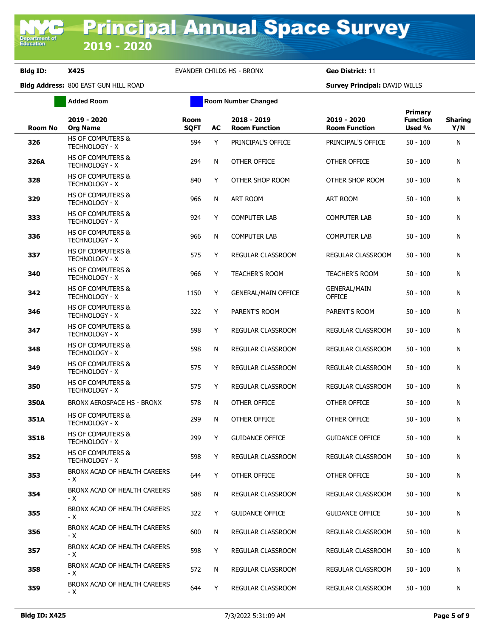**Added Room Room Room Number Changed** 

| Room No | 2019 - 2020<br><b>Org Name</b>                        | Room<br><b>SQFT</b> | AC | 2018 - 2019<br><b>Room Function</b> | 2019 - 2020<br><b>Room Function</b>  | Primary<br><b>Function</b><br>Used % | <b>Sharing</b><br>Y/N |
|---------|-------------------------------------------------------|---------------------|----|-------------------------------------|--------------------------------------|--------------------------------------|-----------------------|
| 326     | <b>HS OF COMPUTERS &amp;</b><br><b>TECHNOLOGY - X</b> | 594                 | Y  | PRINCIPAL'S OFFICE                  | PRINCIPAL'S OFFICE                   | $50 - 100$                           | N                     |
| 326A    | <b>HS OF COMPUTERS &amp;</b><br><b>TECHNOLOGY - X</b> | 294                 | N  | OTHER OFFICE                        | OTHER OFFICE                         | 50 - 100                             | N                     |
| 328     | <b>HS OF COMPUTERS &amp;</b><br><b>TECHNOLOGY - X</b> | 840                 | Y  | OTHER SHOP ROOM                     | OTHER SHOP ROOM                      | 50 - 100                             | N                     |
| 329     | <b>HS OF COMPUTERS &amp;</b><br><b>TECHNOLOGY - X</b> | 966                 | N  | ART ROOM                            | <b>ART ROOM</b>                      | 50 - 100                             | N                     |
| 333     | <b>HS OF COMPUTERS &amp;</b><br><b>TECHNOLOGY - X</b> | 924                 | Y  | <b>COMPUTER LAB</b>                 | <b>COMPUTER LAB</b>                  | 50 - 100                             | N                     |
| 336     | <b>HS OF COMPUTERS &amp;</b><br>TECHNOLOGY - X        | 966                 | N  | <b>COMPUTER LAB</b>                 | <b>COMPUTER LAB</b>                  | 50 - 100                             | N                     |
| 337     | HS OF COMPUTERS &<br><b>TECHNOLOGY - X</b>            | 575                 | Y  | REGULAR CLASSROOM                   | REGULAR CLASSROOM                    | 50 - 100                             | N                     |
| 340     | <b>HS OF COMPUTERS &amp;</b><br><b>TECHNOLOGY - X</b> | 966                 | Y  | <b>TEACHER'S ROOM</b>               | <b>TEACHER'S ROOM</b>                | 50 - 100                             | N                     |
| 342     | <b>HS OF COMPUTERS &amp;</b><br><b>TECHNOLOGY - X</b> | 1150                | Y  | <b>GENERAL/MAIN OFFICE</b>          | <b>GENERAL/MAIN</b><br><b>OFFICE</b> | $50 - 100$                           | N                     |
| 346     | <b>HS OF COMPUTERS &amp;</b><br><b>TECHNOLOGY - X</b> | 322                 | Y  | PARENT'S ROOM                       | PARENT'S ROOM                        | $50 - 100$                           | N                     |
| 347     | <b>HS OF COMPUTERS &amp;</b><br><b>TECHNOLOGY - X</b> | 598                 | Y  | <b>REGULAR CLASSROOM</b>            | REGULAR CLASSROOM                    | $50 - 100$                           | N                     |
| 348     | <b>HS OF COMPUTERS &amp;</b><br><b>TECHNOLOGY - X</b> | 598                 | N  | REGULAR CLASSROOM                   | REGULAR CLASSROOM                    | 50 - 100                             | N                     |
| 349     | <b>HS OF COMPUTERS &amp;</b><br><b>TECHNOLOGY - X</b> | 575                 | Y  | REGULAR CLASSROOM                   | REGULAR CLASSROOM                    | 50 - 100                             | N                     |
| 350     | <b>HS OF COMPUTERS &amp;</b><br><b>TECHNOLOGY - X</b> | 575                 | Y  | REGULAR CLASSROOM                   | REGULAR CLASSROOM                    | $50 - 100$                           | N                     |
| 350A    | BRONX AEROSPACE HS - BRONX                            | 578                 | N  | OTHER OFFICE                        | OTHER OFFICE                         | $50 - 100$                           | N                     |
| 351A    | <b>HS OF COMPUTERS &amp;</b><br><b>TECHNOLOGY - X</b> | 299                 | N  | OTHER OFFICE                        | OTHER OFFICE                         | 50 - 100                             | N                     |
| 351B    | <b>HS OF COMPUTERS &amp;</b><br><b>TECHNOLOGY - X</b> | 299                 | Y  | <b>GUIDANCE OFFICE</b>              | <b>GUIDANCE OFFICE</b>               | 50 - 100                             | N                     |
| 352     | <b>HS OF COMPUTERS &amp;</b><br><b>TECHNOLOGY - X</b> | 598                 | Y  | <b>REGULAR CLASSROOM</b>            | REGULAR CLASSROOM                    | $50 - 100$                           | N                     |
| 353     | BRONX ACAD OF HEALTH CAREERS<br>- X                   | 644                 | Y  | OTHER OFFICE                        | OTHER OFFICE                         | $50 - 100$                           | N                     |
| 354     | BRONX ACAD OF HEALTH CAREERS<br>- X                   | 588                 | N  | REGULAR CLASSROOM                   | REGULAR CLASSROOM                    | 50 - 100                             | N                     |
| 355     | BRONX ACAD OF HEALTH CAREERS<br>- X                   | 322                 | Y  | <b>GUIDANCE OFFICE</b>              | <b>GUIDANCE OFFICE</b>               | 50 - 100                             | N                     |
| 356     | BRONX ACAD OF HEALTH CAREERS<br>- X                   | 600                 | N  | REGULAR CLASSROOM                   | REGULAR CLASSROOM                    | 50 - 100                             | N                     |
| 357     | BRONX ACAD OF HEALTH CAREERS<br>- X                   | 598                 | Y  | REGULAR CLASSROOM                   | REGULAR CLASSROOM                    | 50 - 100                             | N                     |
| 358     | BRONX ACAD OF HEALTH CAREERS<br>- X                   | 572                 | N  | REGULAR CLASSROOM                   | REGULAR CLASSROOM                    | 50 - 100                             | N                     |
| 359     | BRONX ACAD OF HEALTH CAREERS<br>- X                   | 644                 | Y  | REGULAR CLASSROOM                   | REGULAR CLASSROOM                    | 50 - 100                             | N                     |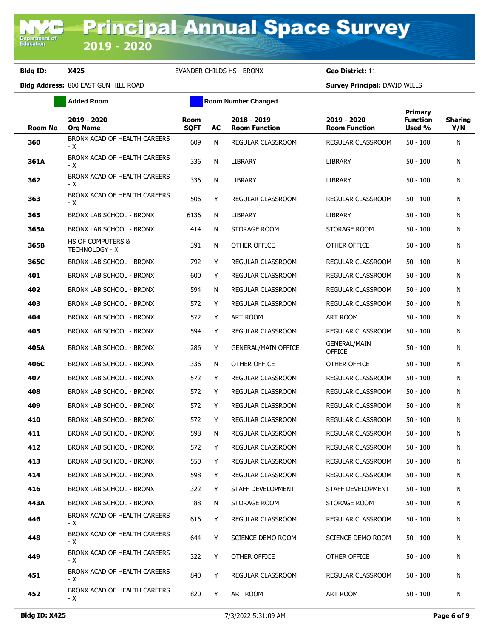**Bldg Address:** 800 EAST GUN HILL ROAD **Survey Principal:** DAVID WILLS **Added Room Room Room Number Changed** 

| <b>Room No</b> | 2019 - 2020<br><b>Org Name</b>             | <b>Room</b><br><b>SQFT</b> | AC | 2018 - 2019<br><b>Room Function</b> | 2019 - 2020<br><b>Room Function</b>  | Primary<br><b>Function</b><br>Used % | <b>Sharing</b><br>Y/N |
|----------------|--------------------------------------------|----------------------------|----|-------------------------------------|--------------------------------------|--------------------------------------|-----------------------|
| 360            | BRONX ACAD OF HEALTH CAREERS<br>- X        | 609                        | N  | REGULAR CLASSROOM                   | REGULAR CLASSROOM                    | $50 - 100$                           | N                     |
| 361A           | BRONX ACAD OF HEALTH CAREERS<br>- X        | 336                        | N  | LIBRARY                             | <b>LIBRARY</b>                       | $50 - 100$                           | N                     |
| 362            | BRONX ACAD OF HEALTH CAREERS<br>- X        | 336                        | N  | LIBRARY                             | <b>LIBRARY</b>                       | $50 - 100$                           | Ν                     |
| 363            | BRONX ACAD OF HEALTH CAREERS<br>- X        | 506                        | Y  | REGULAR CLASSROOM                   | <b>REGULAR CLASSROOM</b>             | $50 - 100$                           | Ν                     |
| 365            | <b>BRONX LAB SCHOOL - BRONX</b>            | 6136                       | N  | <b>LIBRARY</b>                      | <b>LIBRARY</b>                       | $50 - 100$                           | Ν                     |
| 365A           | BRONX LAB SCHOOL - BRONX                   | 414                        | N  | STORAGE ROOM                        | STORAGE ROOM                         | $50 - 100$                           | N                     |
| 365B           | HS OF COMPUTERS &<br><b>TECHNOLOGY - X</b> | 391                        | N  | OTHER OFFICE                        | OTHER OFFICE                         | $50 - 100$                           | N                     |
| 365C           | BRONX LAB SCHOOL - BRONX                   | 792                        | Y  | REGULAR CLASSROOM                   | REGULAR CLASSROOM                    | $50 - 100$                           | Ν                     |
| 401            | BRONX LAB SCHOOL - BRONX                   | 600                        | Y  | REGULAR CLASSROOM                   | REGULAR CLASSROOM                    | $50 - 100$                           | N                     |
| 402            | BRONX LAB SCHOOL - BRONX                   | 594                        | N  | REGULAR CLASSROOM                   | REGULAR CLASSROOM                    | $50 - 100$                           | N                     |
| 403            | BRONX LAB SCHOOL - BRONX                   | 572                        | Y  | REGULAR CLASSROOM                   | REGULAR CLASSROOM                    | $50 - 100$                           | N                     |
| 404            | BRONX LAB SCHOOL - BRONX                   | 572                        | Y  | ART ROOM                            | ART ROOM                             | $50 - 100$                           | Ν                     |
| 405            | <b>BRONX LAB SCHOOL - BRONX</b>            | 594                        | Y  | REGULAR CLASSROOM                   | REGULAR CLASSROOM                    | $50 - 100$                           | N                     |
| 405A           | BRONX LAB SCHOOL - BRONX                   | 286                        | Y  | <b>GENERAL/MAIN OFFICE</b>          | <b>GENERAL/MAIN</b><br><b>OFFICE</b> | $50 - 100$                           | Ν                     |
| 406C           | BRONX LAB SCHOOL - BRONX                   | 336                        | N  | OTHER OFFICE                        | OTHER OFFICE                         | $50 - 100$                           | N                     |
| 407            | BRONX LAB SCHOOL - BRONX                   | 572                        | Y  | REGULAR CLASSROOM                   | REGULAR CLASSROOM                    | $50 - 100$                           | Ν                     |
| 408            | BRONX LAB SCHOOL - BRONX                   | 572                        | Y  | REGULAR CLASSROOM                   | REGULAR CLASSROOM                    | $50 - 100$                           | N                     |
| 409            | BRONX LAB SCHOOL - BRONX                   | 572                        | Y  | REGULAR CLASSROOM                   | REGULAR CLASSROOM                    | $50 - 100$                           | N                     |
| 410            | BRONX LAB SCHOOL - BRONX                   | 572                        | Y  | REGULAR CLASSROOM                   | REGULAR CLASSROOM                    | $50 - 100$                           | N                     |
| 411            | BRONX LAB SCHOOL - BRONX                   | 598                        | N  | REGULAR CLASSROOM                   | REGULAR CLASSROOM                    | $50 - 100$                           | N                     |
| 412            | <b>BRONX LAB SCHOOL - BRONX</b>            | 572                        | Y  | REGULAR CLASSROOM                   | REGULAR CLASSROOM                    | $50 - 100$                           | Ν                     |
| 413            | BRONX LAB SCHOOL - BRONX                   | 550                        | Y  | REGULAR CLASSROOM                   | REGULAR CLASSROOM                    | $50 - 100$                           | N                     |
| 414            | BRONX LAB SCHOOL - BRONX                   | 598                        | Y  | REGULAR CLASSROOM                   | REGULAR CLASSROOM                    | $50 - 100$                           | N                     |
| 416            | BRONX LAB SCHOOL - BRONX                   | 322                        | Y  | STAFF DEVELOPMENT                   | STAFF DEVELOPMENT                    | $50 - 100$                           | N                     |
| 443A           | BRONX LAB SCHOOL - BRONX                   | 88                         | N  | STORAGE ROOM                        | STORAGE ROOM                         | 50 - 100                             | N                     |
| 446            | BRONX ACAD OF HEALTH CAREERS<br>- X        | 616                        | Y  | REGULAR CLASSROOM                   | REGULAR CLASSROOM                    | $50 - 100$                           | N                     |
| 448            | BRONX ACAD OF HEALTH CAREERS<br>- X        | 644                        | Y  | SCIENCE DEMO ROOM                   | SCIENCE DEMO ROOM                    | $50 - 100$                           | N                     |
| 449            | BRONX ACAD OF HEALTH CAREERS<br>- X        | 322                        | Y  | OTHER OFFICE                        | OTHER OFFICE                         | $50 - 100$                           | N                     |
| 451            | BRONX ACAD OF HEALTH CAREERS<br>- X        | 840                        | Y  | REGULAR CLASSROOM                   | REGULAR CLASSROOM                    | $50 - 100$                           | N                     |
| 452            | BRONX ACAD OF HEALTH CAREERS<br>- X        | 820                        | Y  | ART ROOM                            | ART ROOM                             | $50 - 100$                           | N                     |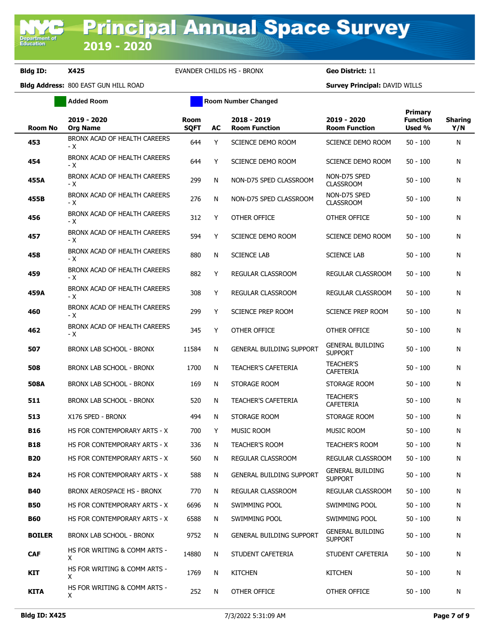**Added Room Room Room Number Changed** 

| Room No       | 2019 - 2020<br><b>Org Name</b>      | <b>Room</b><br><b>SQFT</b> | AC | 2018 - 2019<br><b>Room Function</b> | 2019 - 2020<br><b>Room Function</b>       | Primary<br><b>Function</b><br>Used % | <b>Sharing</b><br>Y/N |
|---------------|-------------------------------------|----------------------------|----|-------------------------------------|-------------------------------------------|--------------------------------------|-----------------------|
| 453           | BRONX ACAD OF HEALTH CAREERS<br>- X | 644                        | Y  | SCIENCE DEMO ROOM                   | SCIENCE DEMO ROOM                         | $50 - 100$                           | N                     |
| 454           | BRONX ACAD OF HEALTH CAREERS<br>- X | 644                        | Y  | SCIENCE DEMO ROOM                   | SCIENCE DEMO ROOM                         | $50 - 100$                           | N                     |
| 455A          | BRONX ACAD OF HEALTH CAREERS<br>- X | 299                        | N  | NON-D75 SPED CLASSROOM              | NON-D75 SPED<br><b>CLASSROOM</b>          | $50 - 100$                           | N                     |
| 455B          | BRONX ACAD OF HEALTH CAREERS<br>- X | 276                        | N  | NON-D75 SPED CLASSROOM              | NON-D75 SPED<br><b>CLASSROOM</b>          | $50 - 100$                           | N                     |
| 456           | BRONX ACAD OF HEALTH CAREERS<br>- X | 312                        | Y  | OTHER OFFICE                        | OTHER OFFICE                              | $50 - 100$                           | N                     |
| 457           | BRONX ACAD OF HEALTH CAREERS<br>- X | 594                        | Y  | SCIENCE DEMO ROOM                   | SCIENCE DEMO ROOM                         | $50 - 100$                           | N                     |
| 458           | BRONX ACAD OF HEALTH CAREERS<br>- X | 880                        | N  | <b>SCIENCE LAB</b>                  | <b>SCIENCE LAB</b>                        | $50 - 100$                           | N                     |
| 459           | BRONX ACAD OF HEALTH CAREERS<br>- X | 882                        | Y  | REGULAR CLASSROOM                   | <b>REGULAR CLASSROOM</b>                  | $50 - 100$                           | N                     |
| 459A          | BRONX ACAD OF HEALTH CAREERS<br>- X | 308                        | Y  | REGULAR CLASSROOM                   | REGULAR CLASSROOM                         | $50 - 100$                           | N                     |
| 460           | BRONX ACAD OF HEALTH CAREERS<br>- X | 299                        | Y  | SCIENCE PREP ROOM                   | SCIENCE PREP ROOM                         | $50 - 100$                           | N                     |
| 462           | BRONX ACAD OF HEALTH CAREERS<br>- X | 345                        | Y  | OTHER OFFICE                        | OTHER OFFICE                              | $50 - 100$                           | N                     |
| 507           | <b>BRONX LAB SCHOOL - BRONX</b>     | 11584                      | N  | <b>GENERAL BUILDING SUPPORT</b>     | <b>GENERAL BUILDING</b><br><b>SUPPORT</b> | $50 - 100$                           | N                     |
| 508           | BRONX LAB SCHOOL - BRONX            | 1700                       | N  | <b>TEACHER'S CAFETERIA</b>          | <b>TEACHER'S</b><br><b>CAFETERIA</b>      | $50 - 100$                           | N                     |
| 508A          | BRONX LAB SCHOOL - BRONX            | 169                        | N  | STORAGE ROOM                        | STORAGE ROOM                              | $50 - 100$                           | N                     |
| 511           | BRONX LAB SCHOOL - BRONX            | 520                        | N  | <b>TEACHER'S CAFETERIA</b>          | <b>TEACHER'S</b><br><b>CAFETERIA</b>      | $50 - 100$                           | N                     |
| 513           | X176 SPED - BRONX                   | 494                        | N  | STORAGE ROOM                        | STORAGE ROOM                              | $50 - 100$                           | N                     |
| <b>B16</b>    | HS FOR CONTEMPORARY ARTS - X        | 700                        | Y  | MUSIC ROOM                          | MUSIC ROOM                                | $50 - 100$                           | N                     |
| B18           | HS FOR CONTEMPORARY ARTS - X        | 336                        | N  | <b>TEACHER'S ROOM</b>               | <b>TEACHER'S ROOM</b>                     | $50 - 100$                           | N                     |
| <b>B20</b>    | HS FOR CONTEMPORARY ARTS - X        | 560                        | N  | REGULAR CLASSROOM                   | REGULAR CLASSROOM                         | $50 - 100$                           | N                     |
| <b>B24</b>    | HS FOR CONTEMPORARY ARTS - X        | 588                        | N  | <b>GENERAL BUILDING SUPPORT</b>     | <b>GENERAL BUILDING</b><br><b>SUPPORT</b> | $50 - 100$                           | N                     |
| <b>B40</b>    | BRONX AEROSPACE HS - BRONX          | 770                        | N  | REGULAR CLASSROOM                   | <b>REGULAR CLASSROOM</b>                  | $50 - 100$                           | N                     |
| <b>B50</b>    | HS FOR CONTEMPORARY ARTS - X        | 6696                       | N  | SWIMMING POOL                       | SWIMMING POOL                             | $50 - 100$                           | N                     |
| <b>B60</b>    | HS FOR CONTEMPORARY ARTS - X        | 6588                       | N  | SWIMMING POOL                       | SWIMMING POOL                             | $50 - 100$                           | N                     |
| <b>BOILER</b> | BRONX LAB SCHOOL - BRONX            | 9752                       | N  | <b>GENERAL BUILDING SUPPORT</b>     | <b>GENERAL BUILDING</b><br><b>SUPPORT</b> | $50 - 100$                           | N                     |
| <b>CAF</b>    | HS FOR WRITING & COMM ARTS -<br>X.  | 14880                      | N  | STUDENT CAFETERIA                   | STUDENT CAFETERIA                         | $50 - 100$                           | N                     |
| KIT           | HS FOR WRITING & COMM ARTS -<br>X   | 1769                       | N  | <b>KITCHEN</b>                      | <b>KITCHEN</b>                            | $50 - 100$                           | N                     |
| KITA          | HS FOR WRITING & COMM ARTS -<br>X   | 252                        | N  | OTHER OFFICE                        | OTHER OFFICE                              | $50 - 100$                           | N                     |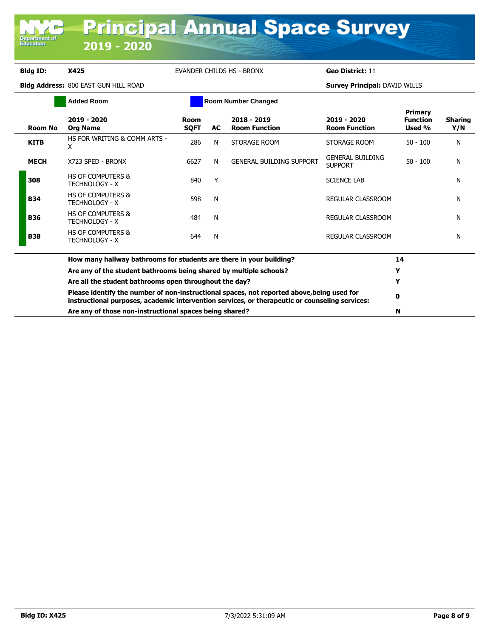Department<br>Education

## **Bldg ID: X425** EVANDER CHILDS HS - BRONX **Geo District:** 11

|             | <b>Added Room</b>                                                                                                                                                                            |                            |    | <b>Room Number Changed</b>          |                                           |                                      |                       |
|-------------|----------------------------------------------------------------------------------------------------------------------------------------------------------------------------------------------|----------------------------|----|-------------------------------------|-------------------------------------------|--------------------------------------|-----------------------|
| Room No     | 2019 - 2020<br><b>Org Name</b>                                                                                                                                                               | <b>Room</b><br><b>SQFT</b> | AC | 2018 - 2019<br><b>Room Function</b> | 2019 - 2020<br><b>Room Function</b>       | Primary<br><b>Function</b><br>Used % | <b>Sharing</b><br>Y/N |
| <b>KITB</b> | HS FOR WRITING & COMM ARTS -<br>x                                                                                                                                                            | 286                        | N  | STORAGE ROOM                        | STORAGE ROOM                              | $50 - 100$                           | N                     |
| <b>MECH</b> | X723 SPED - BRONX                                                                                                                                                                            | 6627                       | N  | <b>GENERAL BUILDING SUPPORT</b>     | <b>GENERAL BUILDING</b><br><b>SUPPORT</b> | $50 - 100$                           | N                     |
| 308         | <b>HS OF COMPUTERS &amp;</b><br><b>TECHNOLOGY - X</b>                                                                                                                                        | 840                        | Y  |                                     | <b>SCIENCE LAB</b>                        |                                      | N                     |
| <b>B34</b>  | <b>HS OF COMPUTERS &amp;</b><br><b>TECHNOLOGY - X</b>                                                                                                                                        | 598                        | N  |                                     | <b>REGULAR CLASSROOM</b>                  |                                      | N                     |
| <b>B36</b>  | <b>HS OF COMPUTERS &amp;</b><br><b>TECHNOLOGY - X</b>                                                                                                                                        | 484                        | N  |                                     | REGULAR CLASSROOM                         |                                      | N                     |
| <b>B38</b>  | <b>HS OF COMPUTERS &amp;</b><br><b>TECHNOLOGY - X</b>                                                                                                                                        | 644                        | N  |                                     | <b>REGULAR CLASSROOM</b>                  |                                      | N                     |
|             | How many hallway bathrooms for students are there in your building?                                                                                                                          |                            |    |                                     |                                           | 14                                   |                       |
|             | Are any of the student bathrooms being shared by multiple schools?                                                                                                                           |                            |    |                                     |                                           | Y                                    |                       |
|             | Are all the student bathrooms open throughout the day?                                                                                                                                       |                            | Y  |                                     |                                           |                                      |                       |
|             | Please identify the number of non-instructional spaces, not reported above, being used for<br>instructional purposes, academic intervention services, or therapeutic or counseling services: |                            | 0  |                                     |                                           |                                      |                       |
|             | Are any of those non-instructional spaces being shared?                                                                                                                                      |                            | N  |                                     |                                           |                                      |                       |